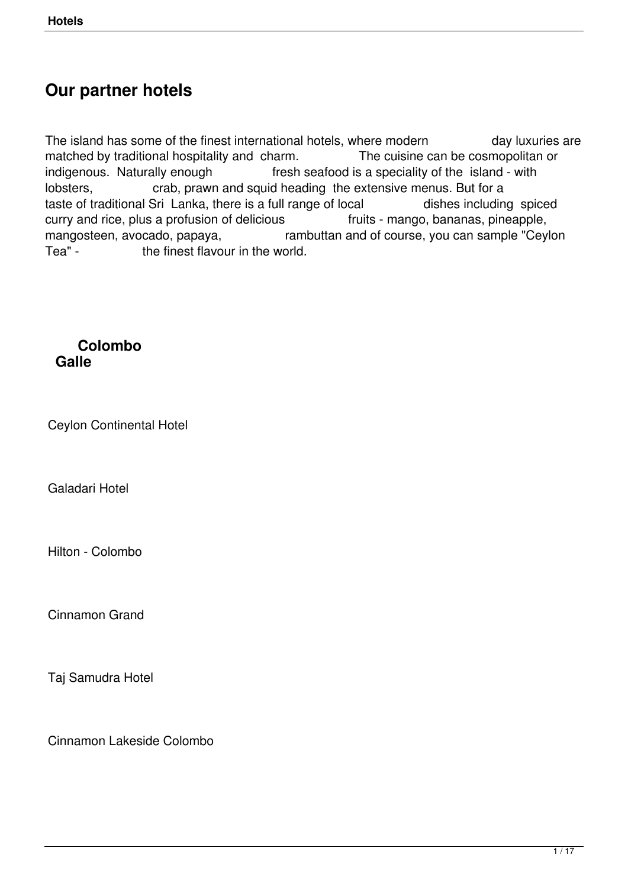# **Our partner hotels**

The island has some of the finest international hotels, where modern day luxuries are matched by traditional hospitality and charm. The cuisine can be cosmopolitan or indigenous. Naturally enough fresh seafood is a speciality of the island - with lobsters, crab, prawn and squid heading the extensive menus. But for a taste of traditional Sri Lanka, there is a full range of local dishes including spiced curry and rice, plus a profusion of delicious fruits - mango, bananas, pineapple, mangosteen, avocado, papaya,<br>Tea" - the finest flavour in the world.<br>Tea" - the finest flavour in the world. the finest flavour in the world.

#### **Colombo Galle**

Ceylon Continental Hotel

Galadari Hotel

Hilton - Colombo

Cinnamon Grand

Taj Samudra Hotel

Cinnamon Lakeside Colombo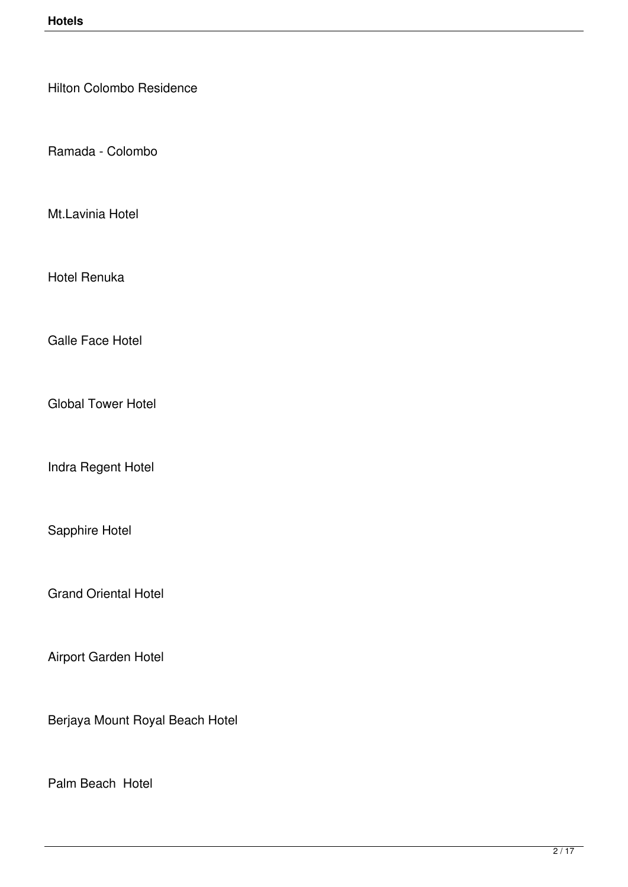Hilton Colombo Residence

Ramada - Colombo

Mt.Lavinia Hotel

Hotel Renuka

Galle Face Hotel

Global Tower Hotel

Indra Regent Hotel

Sapphire Hotel

Grand Oriental Hotel

Airport Garden Hotel

Berjaya Mount Royal Beach Hotel

Palm Beach Hotel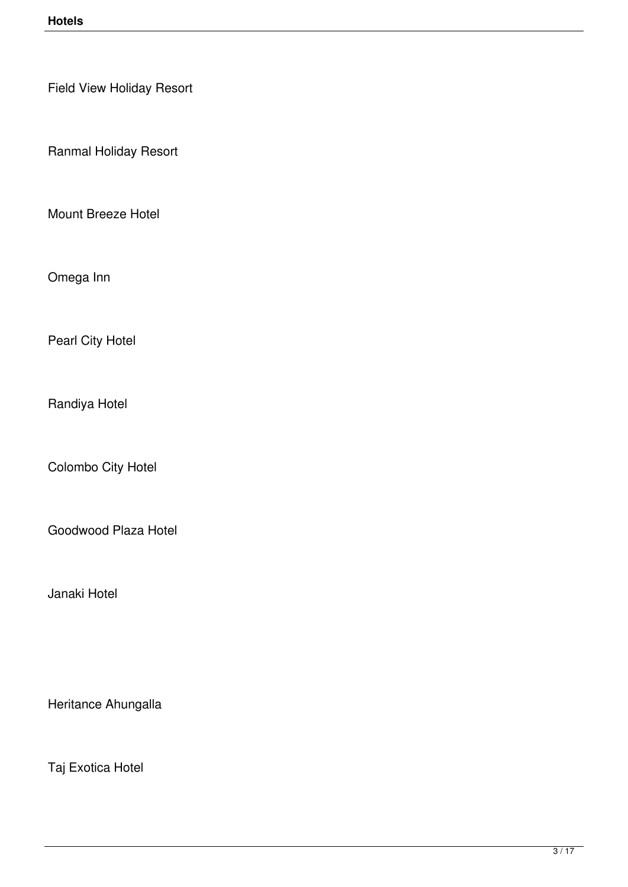Field View Holiday Resort

Ranmal Holiday Resort

Mount Breeze Hotel

Omega Inn

Pearl City Hotel

Randiya Hotel

Colombo City Hotel

Goodwood Plaza Hotel

Janaki Hotel

Heritance Ahungalla

Taj Exotica Hotel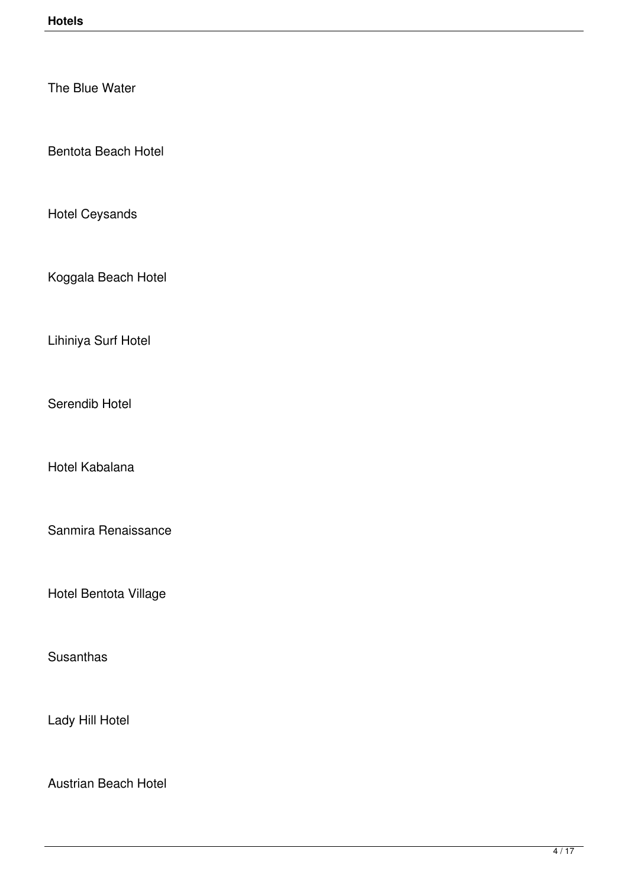The Blue Water

Bentota Beach Hotel

Hotel Ceysands

Koggala Beach Hotel

Lihiniya Surf Hotel

Serendib Hotel

Hotel Kabalana

Sanmira Renaissance

Hotel Bentota Village

**Susanthas** 

Lady Hill Hotel

Austrian Beach Hotel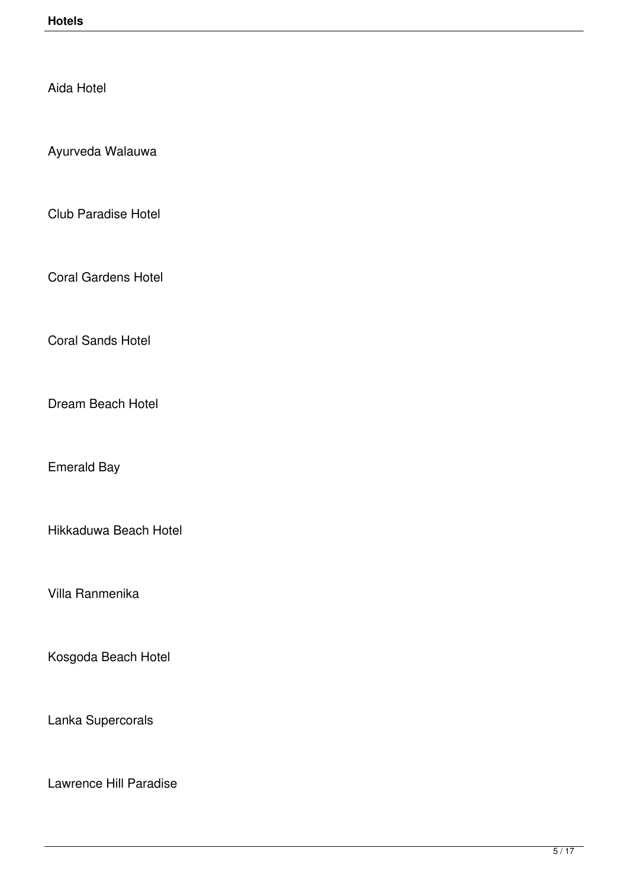Aida Hotel

Ayurveda Walauwa

Club Paradise Hotel

Coral Gardens Hotel

Coral Sands Hotel

Dream Beach Hotel

Emerald Bay

Hikkaduwa Beach Hotel

Villa Ranmenika

Kosgoda Beach Hotel

Lanka Supercorals

Lawrence Hill Paradise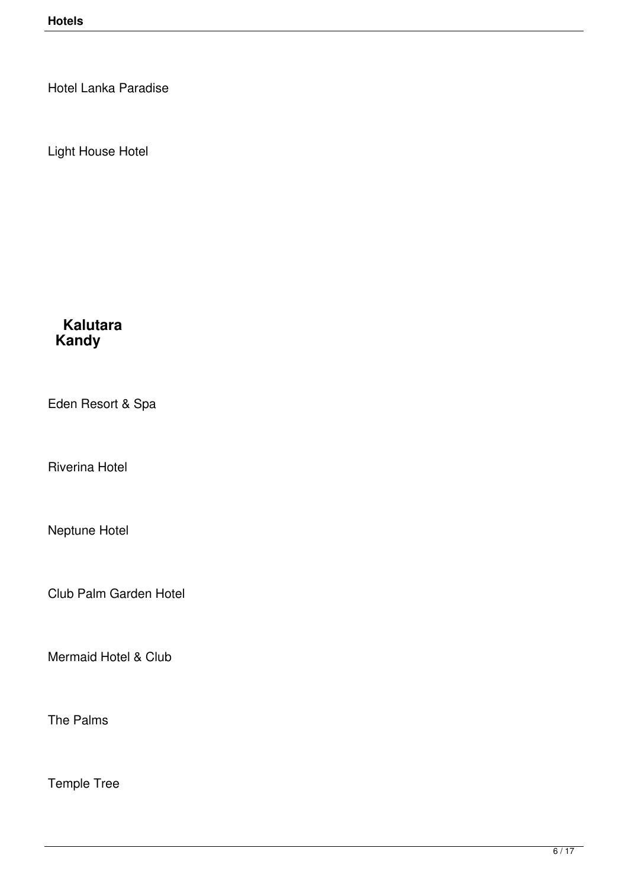Hotel Lanka Paradise

Light House Hotel

# **Kalutara Kandy**

Eden Resort & Spa

Riverina Hotel

Neptune Hotel

Club Palm Garden Hotel

Mermaid Hotel & Club

The Palms

Temple Tree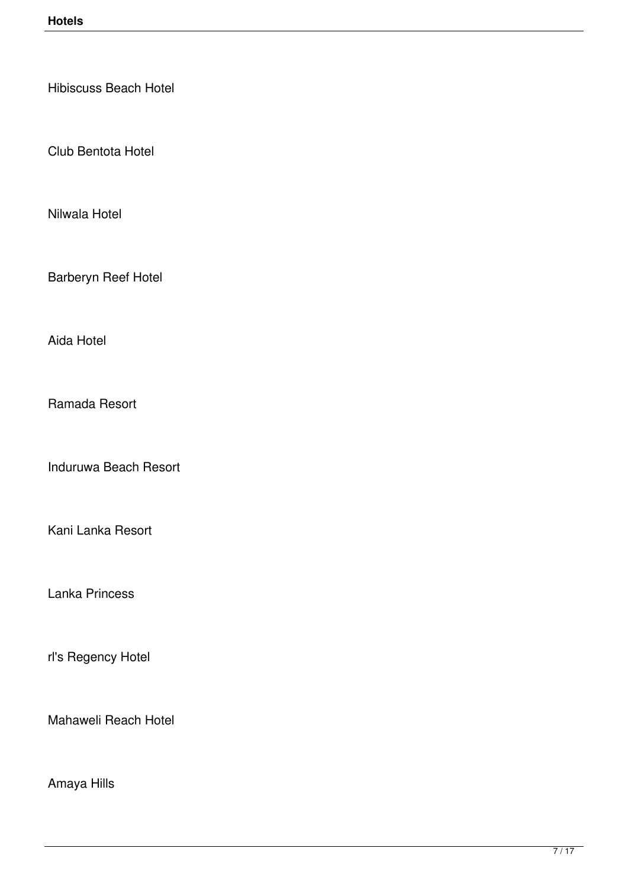Hibiscuss Beach Hotel

Club Bentota Hotel

Nilwala Hotel

Barberyn Reef Hotel

Aida Hotel

Ramada Resort

Induruwa Beach Resort

Kani Lanka Resort

Lanka Princess

rl's Regency Hotel

Mahaweli Reach Hotel

Amaya Hills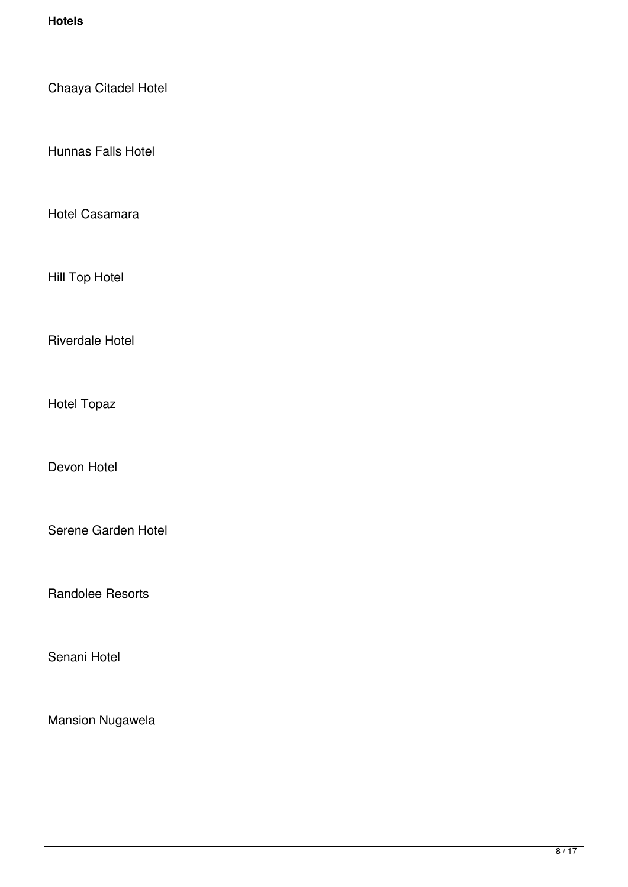Chaaya Citadel Hotel

Hunnas Falls Hotel

Hotel Casamara

Hill Top Hotel

Riverdale Hotel

Hotel Topaz

Devon Hotel

Serene Garden Hotel

Randolee Resorts

Senani Hotel

Mansion Nugawela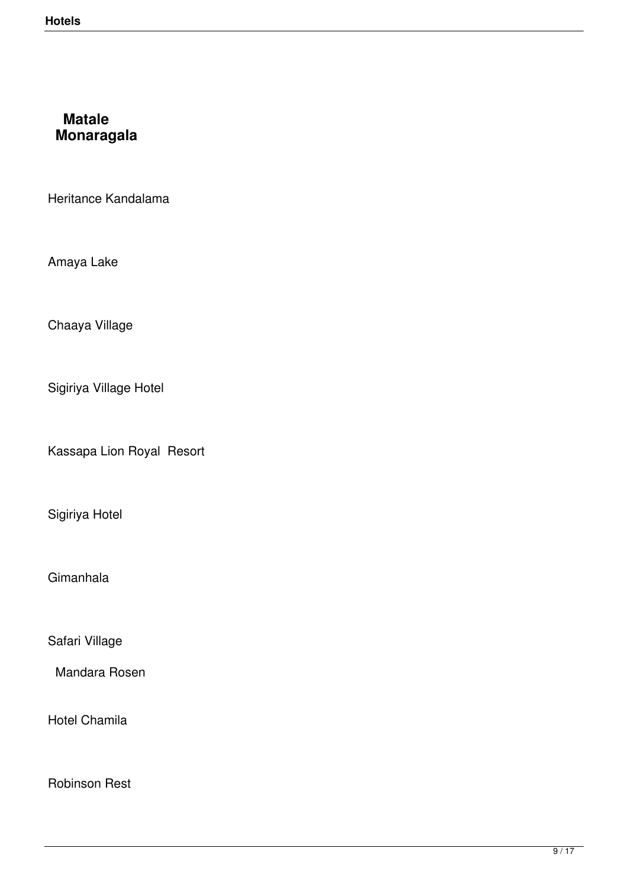## **Matale Monaragala**

Heritance Kandalama

Amaya Lake

Chaaya Village

Sigiriya Village Hotel

Kassapa Lion Royal Resort

Sigiriya Hotel

Gimanhala

Safari Village

Mandara Rosen

Hotel Chamila

Robinson Rest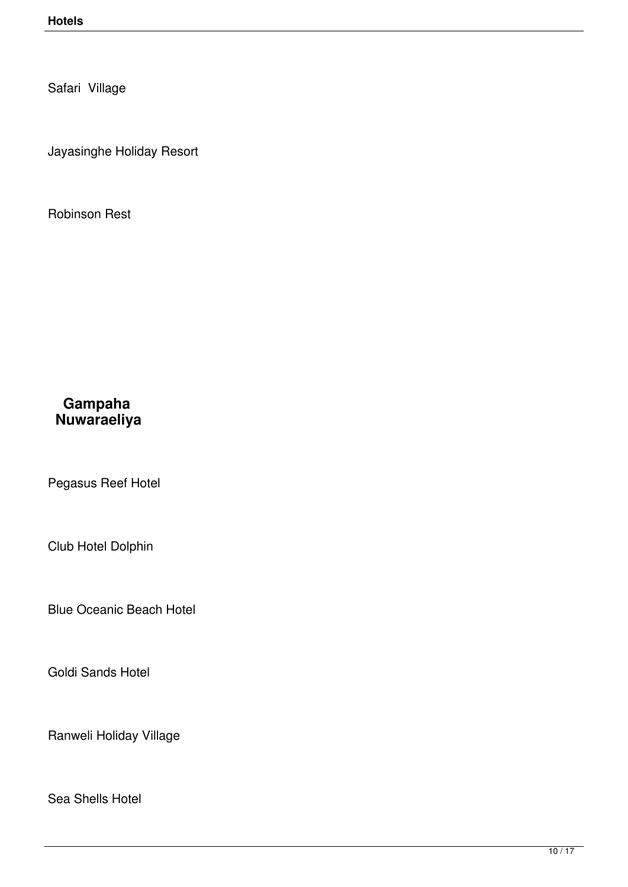Safari Village

Jayasinghe Holiday Resort

Robinson Rest

### **Gampaha Nuwaraeliya**

Pegasus Reef Hotel

Club Hotel Dolphin

Blue Oceanic Beach Hotel

Goldi Sands Hotel

Ranweli Holiday Village

Sea Shells Hotel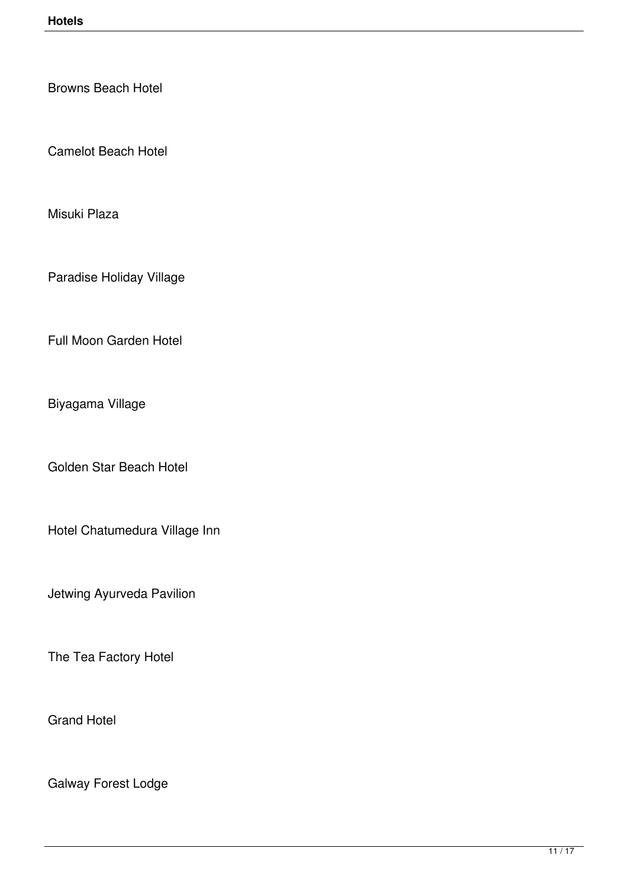Browns Beach Hotel

Camelot Beach Hotel

Misuki Plaza

Paradise Holiday Village

Full Moon Garden Hotel

Biyagama Village

Golden Star Beach Hotel

Hotel Chatumedura Village Inn

Jetwing Ayurveda Pavilion

The Tea Factory Hotel

Grand Hotel

Galway Forest Lodge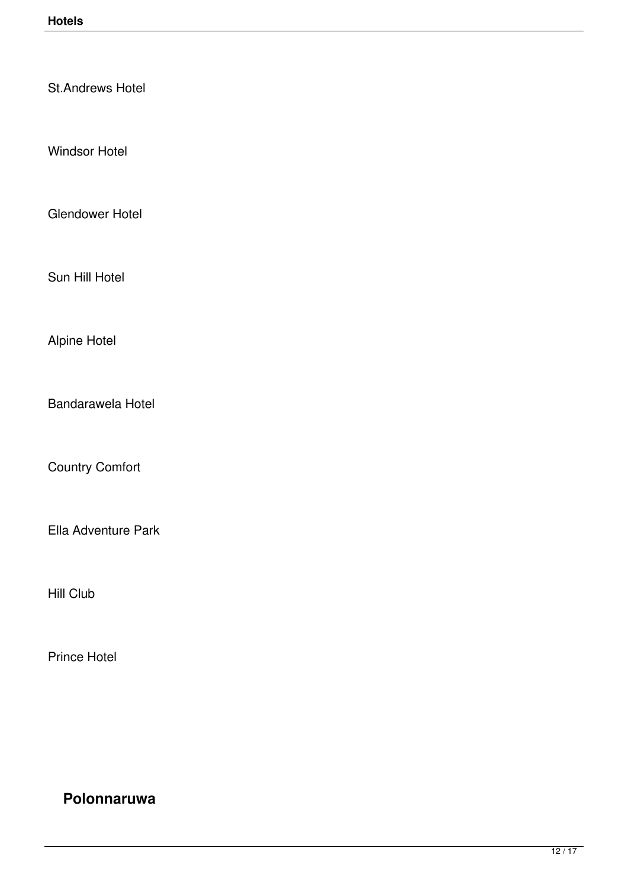St.Andrews Hotel

Windsor Hotel

Glendower Hotel

Sun Hill Hotel

Alpine Hotel

Bandarawela Hotel

Country Comfort

Ella Adventure Park

Hill Club

Prince Hotel

# **Polonnaruwa**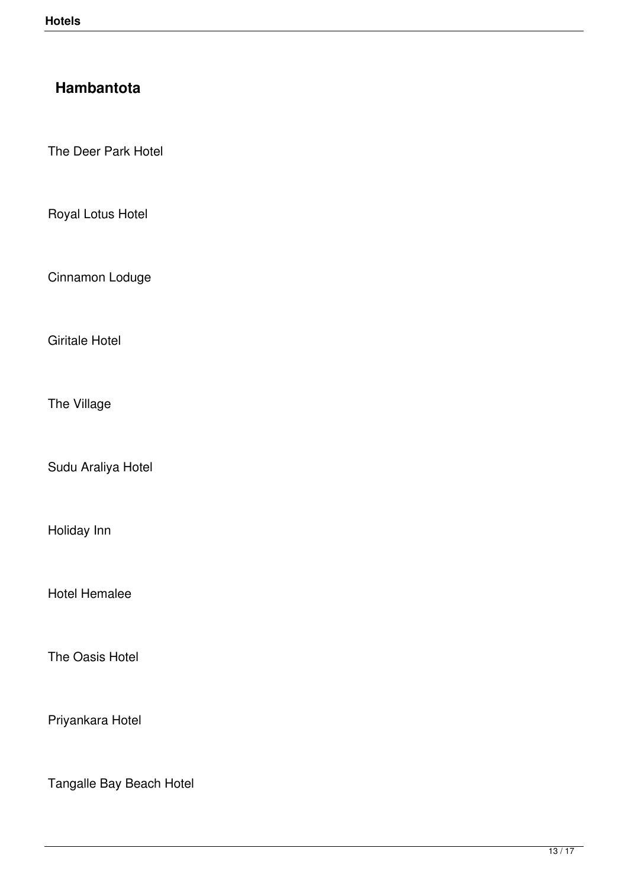# **Hambantota**

The Deer Park Hotel

Royal Lotus Hotel

Cinnamon Loduge

Giritale Hotel

The Village

Sudu Araliya Hotel

Holiday Inn

Hotel Hemalee

The Oasis Hotel

Priyankara Hotel

Tangalle Bay Beach Hotel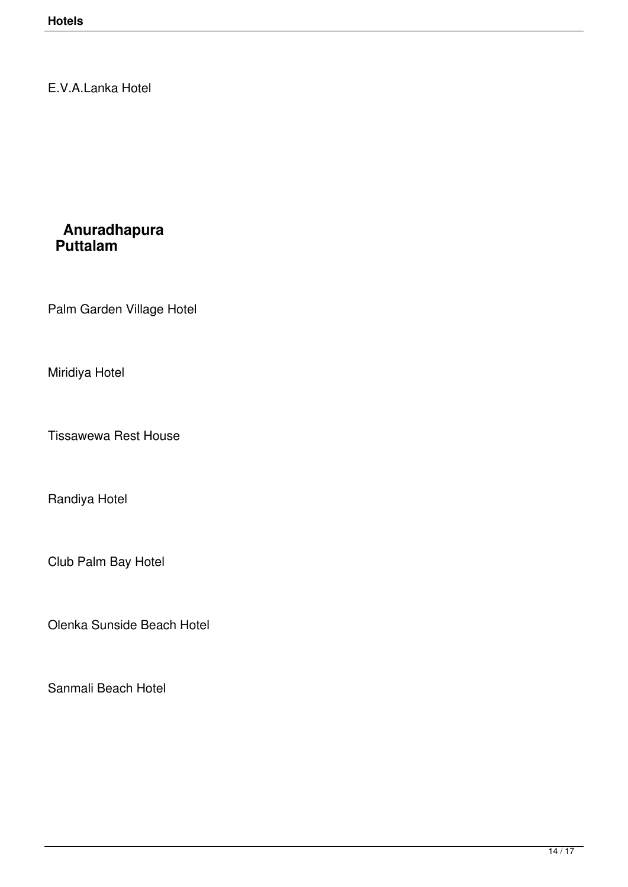E.V.A.Lanka Hotel

### **Anuradhapura Puttalam**

Palm Garden Village Hotel

Miridiya Hotel

Tissawewa Rest House

Randiya Hotel

Club Palm Bay Hotel

Olenka Sunside Beach Hotel

Sanmali Beach Hotel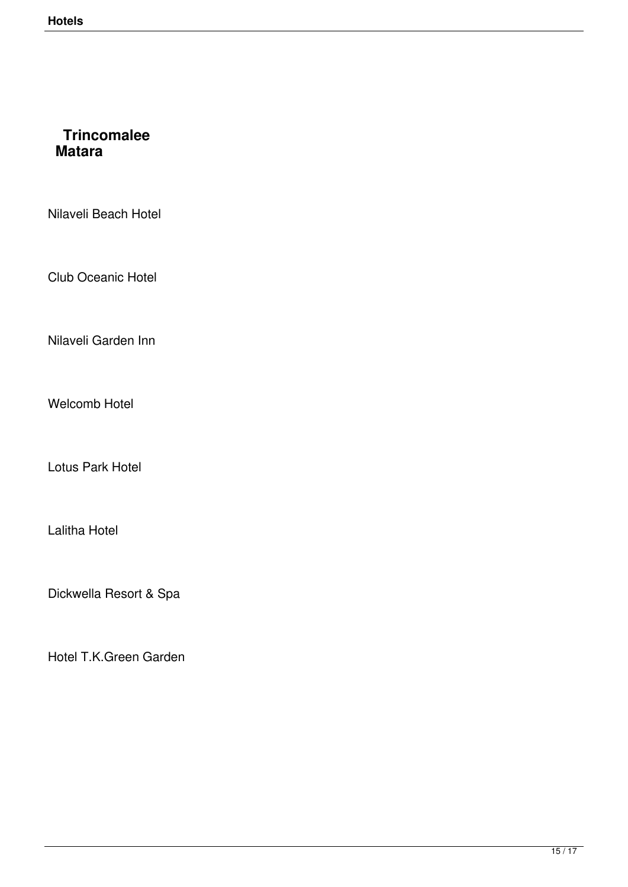## **Trincomalee Matara**

Nilaveli Beach Hotel

Club Oceanic Hotel

Nilaveli Garden Inn

Welcomb Hotel

Lotus Park Hotel

Lalitha Hotel

Dickwella Resort & Spa

Hotel T.K.Green Garden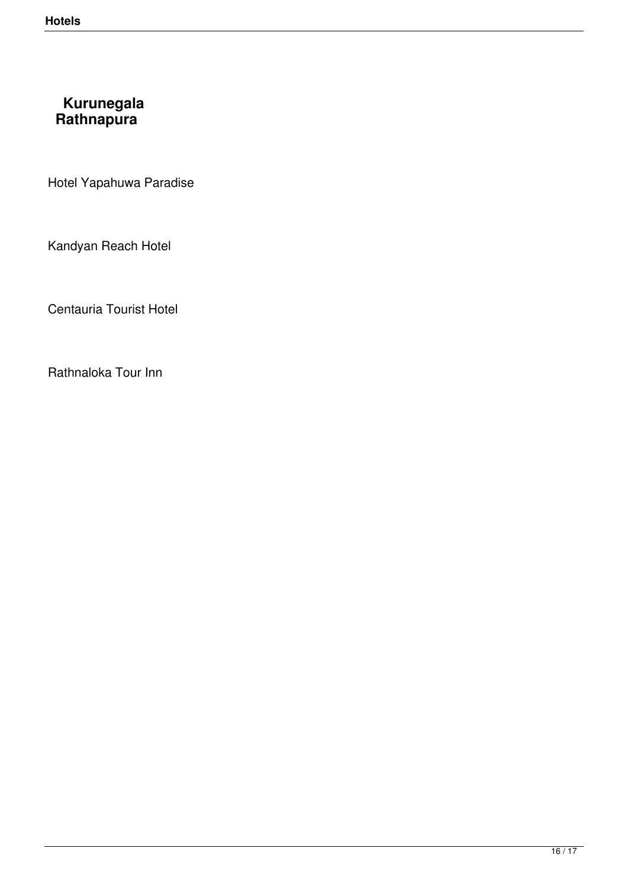### **Kurunegala Rathnapura**

Hotel Yapahuwa Paradise

Kandyan Reach Hotel

Centauria Tourist Hotel

Rathnaloka Tour Inn